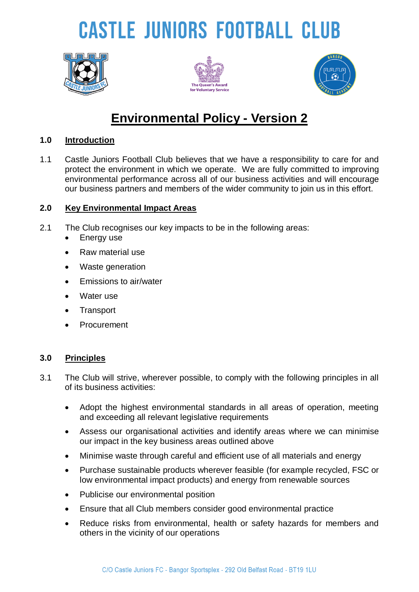# **CASTLE JUNIORS FOOTBALL CLUB**







### **Environmental Policy - Version 2**

#### **1.0 Introduction**

1.1 Castle Juniors Football Club believes that we have a responsibility to care for and protect the environment in which we operate. We are fully committed to improving environmental performance across all of our business activities and will encourage our business partners and members of the wider community to join us in this effort.

#### **2.0 Key Environmental Impact Areas**

- 2.1 The Club recognises our key impacts to be in the following areas:
	- Energy use
	- Raw material use
	- Waste generation
	- **Emissions to air/water**
	- Water use
	- **Transport**
	- Procurement

#### **3.0 Principles**

- 3.1 The Club will strive, wherever possible, to comply with the following principles in all of its business activities:
	- Adopt the highest environmental standards in all areas of operation, meeting and exceeding all relevant legislative requirements
	- Assess our organisational activities and identify areas where we can minimise our impact in the key business areas outlined above
	- Minimise waste through careful and efficient use of all materials and energy
	- Purchase sustainable products wherever feasible (for example recycled, FSC or low environmental impact products) and energy from renewable sources
	- Publicise our environmental position
	- Ensure that all Club members consider good environmental practice
	- Reduce risks from environmental, health or safety hazards for members and others in the vicinity of our operations